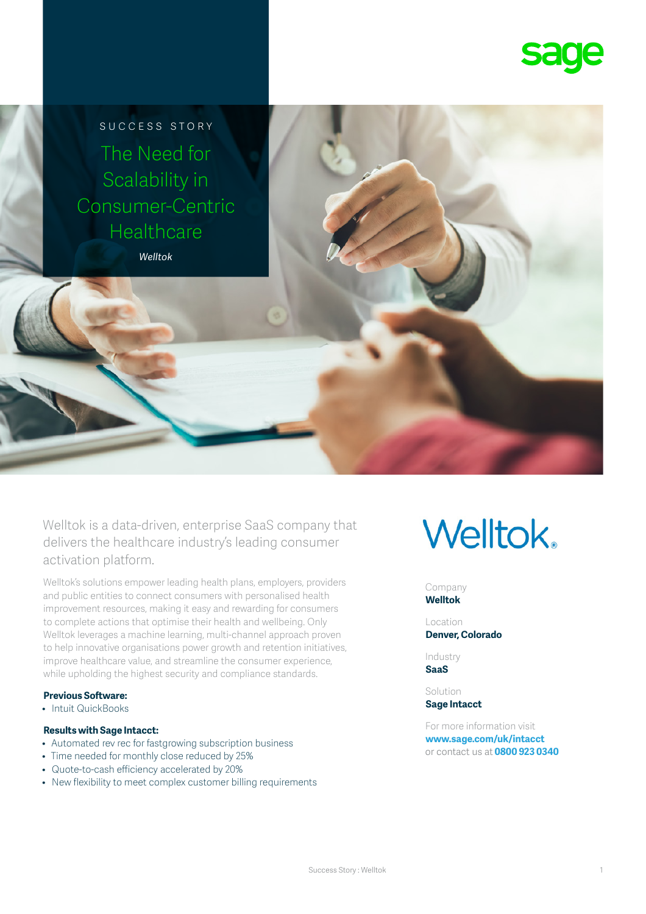

SUCCESS STORY The Need for Scalability in Consumer-Centric **Healthcare** 

*Welltok*

Welltok is a data-driven, enterprise SaaS company that delivers the healthcare industry's leading consumer activation platform.

Welltok's solutions empower leading health plans, employers, providers and public entities to connect consumers with personalised health improvement resources, making it easy and rewarding for consumers to complete actions that optimise their health and wellbeing. Only Welltok leverages a machine learning, multi-channel approach proven to help innovative organisations power growth and retention initiatives, improve healthcare value, and streamline the consumer experience, while upholding the highest security and compliance standards.

#### **Previous Software:**

• Intuit QuickBooks

#### **Results with Sage Intacct:**

- Automated rev rec for fastgrowing subscription business
- Time needed for monthly close reduced by 25%
- Quote-to-cash efficiency accelerated by 20%
- New flexibility to meet complex customer billing requirements

# **Welltok.**

Company **Welltok**

Location **Denver, Colorado**

Industry **SaaS**

Solution **Sage Intacct**

For more information visit **[www.sage.com/uk/intacct](http://www.sage.com/uk/intacct)** or contact us at **0800 923 0340**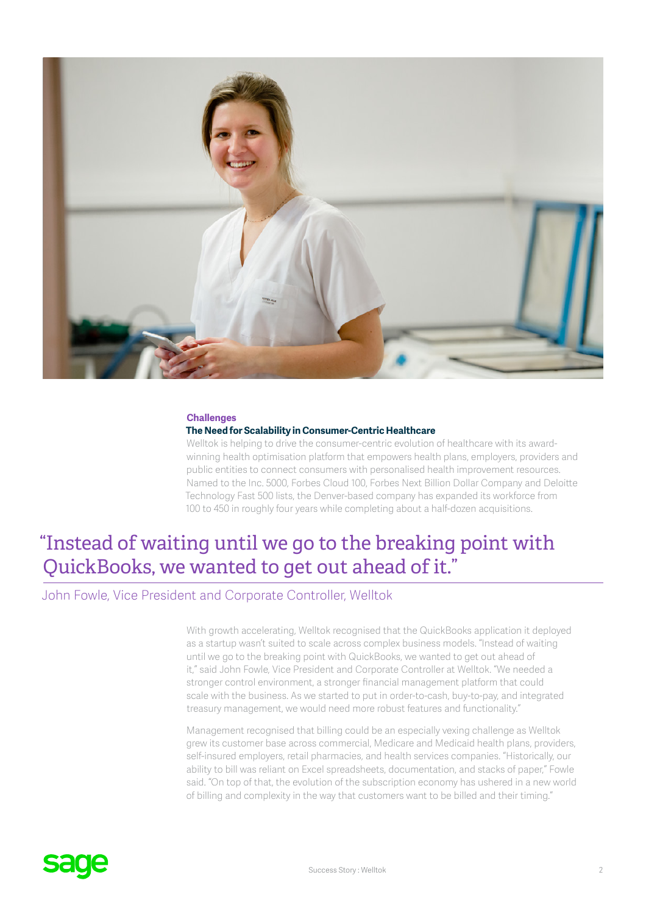

#### **Challenges**

#### **The Need for Scalability in Consumer-Centric Healthcare**

Welltok is helping to drive the consumer-centric evolution of healthcare with its awardwinning health optimisation platform that empowers health plans, employers, providers and public entities to connect consumers with personalised health improvement resources. Named to the Inc. 5000, Forbes Cloud 100, Forbes Next Billion Dollar Company and Deloitte Technology Fast 500 lists, the Denver-based company has expanded its workforce from 100 to 450 in roughly four years while completing about a half-dozen acquisitions.

### "Instead of waiting until we go to the breaking point with QuickBooks, we wanted to get out ahead of it."

#### John Fowle, Vice President and Corporate Controller, Welltok

With growth accelerating, Welltok recognised that the QuickBooks application it deployed as a startup wasn't suited to scale across complex business models. "Instead of waiting until we go to the breaking point with QuickBooks, we wanted to get out ahead of it," said John Fowle, Vice President and Corporate Controller at Welltok. "We needed a stronger control environment, a stronger financial management platform that could scale with the business. As we started to put in order-to-cash, buy-to-pay, and integrated treasury management, we would need more robust features and functionality."

Management recognised that billing could be an especially vexing challenge as Welltok grew its customer base across commercial, Medicare and Medicaid health plans, providers, self-insured employers, retail pharmacies, and health services companies. "Historically, our ability to bill was reliant on Excel spreadsheets, documentation, and stacks of paper," Fowle said. "On top of that, the evolution of the subscription economy has ushered in a new world of billing and complexity in the way that customers want to be billed and their timing."

## **sage**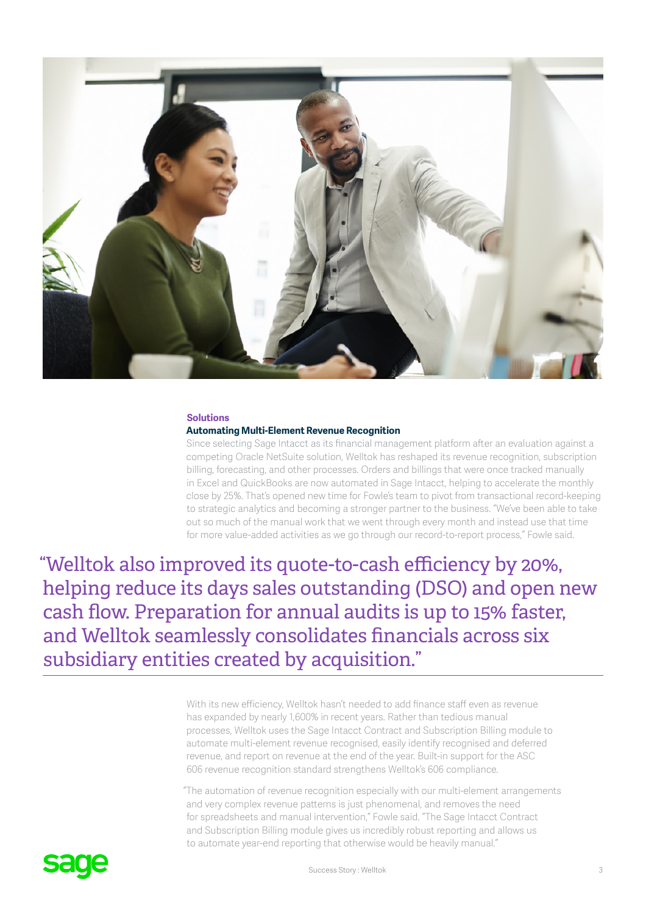

#### **Solutions**

#### **Automating Multi-Element Revenue Recognition**

Since selecting Sage Intacct as its financial management platform after an evaluation against a competing Oracle NetSuite solution, Welltok has reshaped its revenue recognition, subscription billing, forecasting, and other processes. Orders and billings that were once tracked manually in Excel and QuickBooks are now automated in Sage Intacct, helping to accelerate the monthly close by 25%. That's opened new time for Fowle's team to pivot from transactional record-keeping to strategic analytics and becoming a stronger partner to the business. "We've been able to take out so much of the manual work that we went through every month and instead use that time for more value-added activities as we go through our record-to-report process," Fowle said.

"Welltok also improved its quote-to-cash efficiency by 20%, helping reduce its days sales outstanding (DSO) and open new cash flow. Preparation for annual audits is up to 15% faster, and Welltok seamlessly consolidates financials across six subsidiary entities created by acquisition."

> With its new efficiency, Welltok hasn't needed to add finance staff even as revenue has expanded by nearly 1,600% in recent years. Rather than tedious manual processes, Welltok uses the Sage Intacct Contract and Subscription Billing module to automate multi-element revenue recognised, easily identify recognised and deferred revenue, and report on revenue at the end of the year. Built-in support for the ASC 606 revenue recognition standard strengthens Welltok's 606 compliance.

"The automation of revenue recognition especially with our multi-element arrangements and very complex revenue patterns is just phenomenal, and removes the need for spreadsheets and manual intervention," Fowle said. "The Sage Intacct Contract and Subscription Billing module gives us incredibly robust reporting and allows us to automate year-end reporting that otherwise would be heavily manual."

## saue